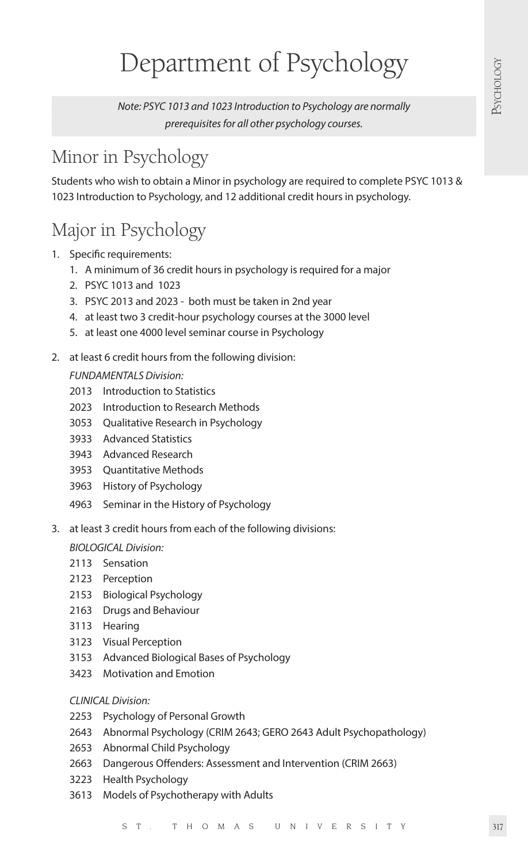# Department of Psychology

*Note: PSYC 1013 and 1023 Introduction to Psychology are normally prerequisites for all other psychology courses.*

## Minor in Psychology

Students who wish to obtain a Minor in psychology are required to complete PSYC 1013 & 1023 Introduction to Psychology, and 12 additional credit hours in psychology.

### Major in Psychology

- 1. Specific requirements:
	- 1. A minimum of 36 credit hours in psychology is required for a major
	- 2. PSYC 1013 and 1023
	- 3. PSYC 2013 and 2023 both must be taken in 2nd year
	- 4. at least two 3 credit-hour psychology courses at the 3000 level
	- 5. at least one 4000 level seminar course in Psychology
- 2. at least 6 credit hours from the following division:

*FUNDAMENTALS Division:*

- 2013 Introduction to Statistics
- 2023 Introduction to Research Methods
- 3053 Qualitative Research in Psychology
- 3933 Advanced Statistics
- 3943 Advanced Research
- 3953 Quantitative Methods
- 3963 History of Psychology
- 4963 Seminar in the History of Psychology
- 3. at least 3 credit hours from each of the following divisions:

#### *BIOLOGICAL Division:*

- 2113 Sensation
- 2123 Perception
- 2153 Biological Psychology
- 2163 Drugs and Behaviour
- 3113 Hearing
- 3123 Visual Perception
- 3153 Advanced Biological Bases of Psychology
- 3423 Motivation and Emotion

#### *CLINICAL Division:*

- 2253 Psychology of Personal Growth
- 2643 Abnormal Psychology (CRIM 2643; GERO 2643 Adult Psychopathology)
- 2653 Abnormal Child Psychology
- 2663 Dangerous Offenders: Assessment and Intervention (CRIM 2663)
- 3223 Health Psychology
- 3613 Models of Psychotherapy with Adults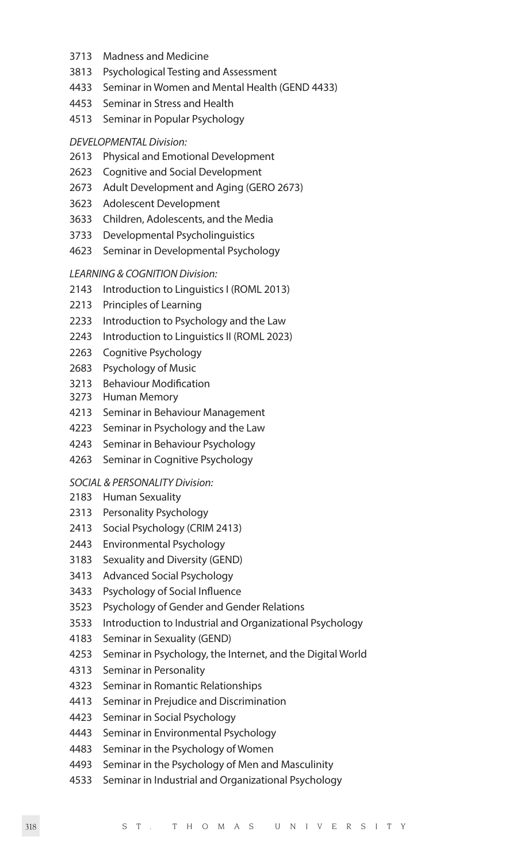- 3713 Madness and Medicine
- 3813 Psychological Testing and Assessment
- 4433 Seminar in Women and Mental Health (GEND 4433)
- 4453 Seminar in Stress and Health
- 4513 Seminar in Popular Psychology
- *DEVELOPMENTAL Division:*
- 2613 Physical and Emotional Development
- 2623 Cognitive and Social Development
- 2673 Adult Development and Aging (GERO 2673)
- 3623 Adolescent Development
- 3633 Children, Adolescents, and the Media
- 3733 Developmental Psycholinguistics
- 4623 Seminar in Developmental Psychology

#### *LEARNING & COGNITION Division:*

- 2143 Introduction to Linguistics I (ROML 2013)
- 2213 Principles of Learning
- 2233 Introduction to Psychology and the Law
- 2243 Introduction to Linguistics II (ROML 2023)
- 2263 Cognitive Psychology
- 2683 Psychology of Music
- 3213 Behaviour Modification
- 3273 Human Memory
- 4213 Seminar in Behaviour Management
- 4223 Seminar in Psychology and the Law
- 4243 Seminar in Behaviour Psychology
- 4263 Seminar in Cognitive Psychology

#### *SOCIAL & PERSONALITY Division:*

- 2183 Human Sexuality
- 2313 Personality Psychology
- 2413 Social Psychology (CRIM 2413)
- 2443 Environmental Psychology
- 3183 Sexuality and Diversity (GEND)
- 3413 Advanced Social Psychology
- 3433 Psychology of Social Influence
- 3523 Psychology of Gender and Gender Relations
- 3533 Introduction to Industrial and Organizational Psychology
- 4183 Seminar in Sexuality (GEND)
- 4253 Seminar in Psychology, the Internet, and the Digital World
- 4313 Seminar in Personality
- 4323 Seminar in Romantic Relationships
- 4413 Seminar in Prejudice and Discrimination
- 4423 Seminar in Social Psychology
- 4443 Seminar in Environmental Psychology
- 4483 Seminar in the Psychology of Women
- 4493 Seminar in the Psychology of Men and Masculinity
- 4533 Seminar in Industrial and Organizational Psychology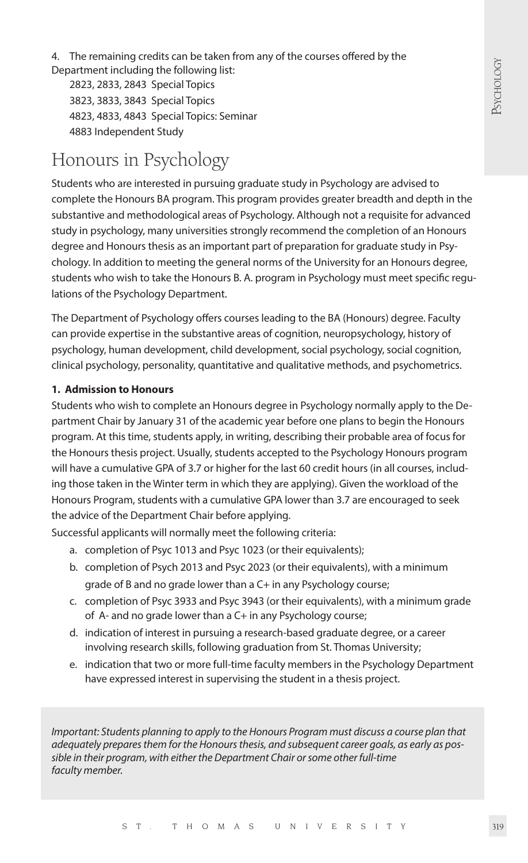4. The remaining credits can be taken from any of the courses offered by the Department including the following list:

2823, 2833, 2843 Special Topics 3823, 3833, 3843 Special Topics 4823, 4833, 4843 Special Topics: Seminar 4883 Independent Study

### Honours in Psychology

Students who are interested in pursuing graduate study in Psychology are advised to complete the Honours BA program. This program provides greater breadth and depth in the substantive and methodological areas of Psychology. Although not a requisite for advanced study in psychology, many universities strongly recommend the completion of an Honours degree and Honours thesis as an important part of preparation for graduate study in Psychology. In addition to meeting the general norms of the University for an Honours degree, students who wish to take the Honours B. A. program in Psychology must meet specific regulations of the Psychology Department.

The Department of Psychology offers courses leading to the BA (Honours) degree. Faculty can provide expertise in the substantive areas of cognition, neuropsychology, history of psychology, human development, child development, social psychology, social cognition, clinical psychology, personality, quantitative and qualitative methods, and psychometrics.

#### **1. Admission to Honours**

Students who wish to complete an Honours degree in Psychology normally apply to the Department Chair by January 31 of the academic year before one plans to begin the Honours program. At this time, students apply, in writing, describing their probable area of focus for the Honours thesis project. Usually, students accepted to the Psychology Honours program will have a cumulative GPA of 3.7 or higher for the last 60 credit hours (in all courses, including those taken in the Winter term in which they are applying). Given the workload of the Honours Program, students with a cumulative GPA lower than 3.7 are encouraged to seek the advice of the Department Chair before applying.

Successful applicants will normally meet the following criteria:

- a. completion of Psyc 1013 and Psyc 1023 (or their equivalents);
- b. completion of Psych 2013 and Psyc 2023 (or their equivalents), with a minimum grade of B and no grade lower than a C+ in any Psychology course;
- c. completion of Psyc 3933 and Psyc 3943 (or their equivalents), with a minimum grade of A- and no grade lower than a C+ in any Psychology course;
- d. indication of interest in pursuing a research-based graduate degree, or a career involving research skills, following graduation from St. Thomas University;
- e. indication that two or more full-time faculty members in the Psychology Department have expressed interest in supervising the student in a thesis project.

*Important: Students planning to apply to the Honours Program must discuss a course plan that adequately prepares them for the Honours thesis, and subsequent career goals, as early as possible in their program, with either the Department Chair or some other full-time faculty member.*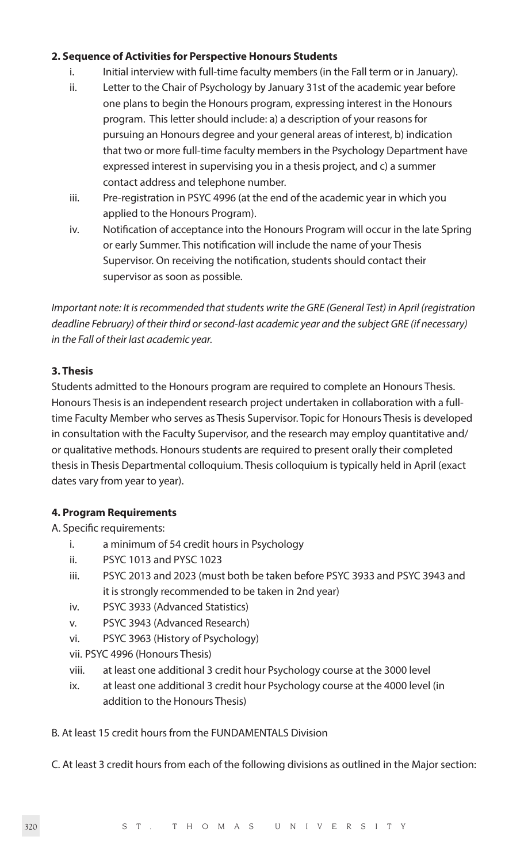#### **2. Sequence of Activities for Perspective Honours Students**

- i. Initial interview with full-time faculty members (in the Fall term or in January).
- ii. Letter to the Chair of Psychology by January 31st of the academic year before one plans to begin the Honours program, expressing interest in the Honours program. This letter should include: a) a description of your reasons for pursuing an Honours degree and your general areas of interest, b) indication that two or more full-time faculty members in the Psychology Department have expressed interest in supervising you in a thesis project, and c) a summer contact address and telephone number.
- iii. Pre-registration in PSYC 4996 (at the end of the academic year in which you applied to the Honours Program).
- iv. Notification of acceptance into the Honours Program will occur in the late Spring or early Summer. This notification will include the name of your Thesis Supervisor. On receiving the notification, students should contact their supervisor as soon as possible.

*Important note: It is recommended that students write the GRE (General Test) in April (registration deadline February) of their third or second-last academic year and the subject GRE (if necessary) in the Fall of their last academic year.*

#### **3. Thesis**

Students admitted to the Honours program are required to complete an Honours Thesis. Honours Thesis is an independent research project undertaken in collaboration with a fulltime Faculty Member who serves as Thesis Supervisor. Topic for Honours Thesis is developed in consultation with the Faculty Supervisor, and the research may employ quantitative and/ or qualitative methods. Honours students are required to present orally their completed thesis in Thesis Departmental colloquium. Thesis colloquium is typically held in April (exact dates vary from year to year).

#### **4. Program Requirements**

A. Specific requirements:

- i. a minimum of 54 credit hours in Psychology
- ii. PSYC 1013 and PYSC 1023
- iii. PSYC 2013 and 2023 (must both be taken before PSYC 3933 and PSYC 3943 and it is strongly recommended to be taken in 2nd year)
- iv. PSYC 3933 (Advanced Statistics)
- v. PSYC 3943 (Advanced Research)
- vi. PSYC 3963 (History of Psychology)

vii. PSYC 4996 (Honours Thesis)

- viii. at least one additional 3 credit hour Psychology course at the 3000 level
- ix. at least one additional 3 credit hour Psychology course at the 4000 level (in addition to the Honours Thesis)

#### B. At least 15 credit hours from the FUNDAMENTALS Division

C. At least 3 credit hours from each of the following divisions as outlined in the Major section: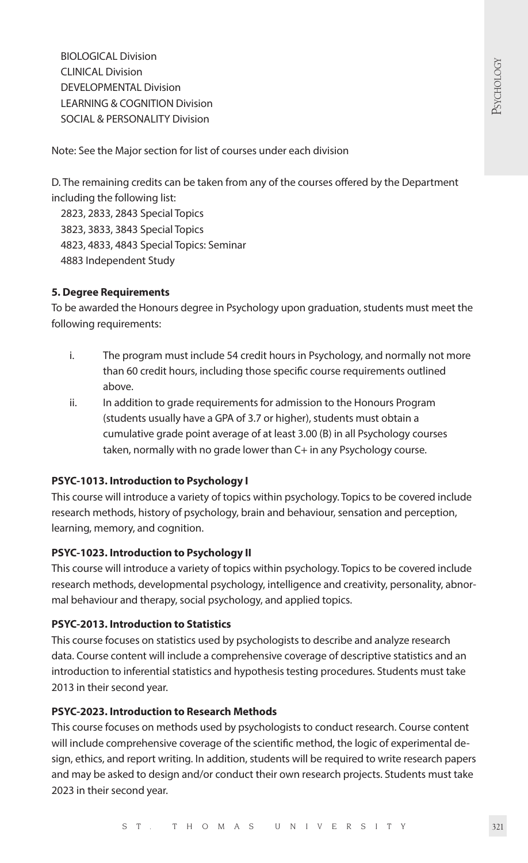BIOLOGICAL Division CLINICAL Division DEVELOPMENTAL Division LEARNING & COGNITION Division SOCIAL & PERSONALITY Division

Note: See the Major section for list of courses under each division

D. The remaining credits can be taken from any of the courses offered by the Department including the following list:

 2823, 2833, 2843 Special Topics 3823, 3833, 3843 Special Topics 4823, 4833, 4843 Special Topics: Seminar 4883 Independent Study

#### **5. Degree Requirements**

To be awarded the Honours degree in Psychology upon graduation, students must meet the following requirements:

- i. The program must include 54 credit hours in Psychology, and normally not more than 60 credit hours, including those specific course requirements outlined above.
- ii. In addition to grade requirements for admission to the Honours Program (students usually have a GPA of 3.7 or higher), students must obtain a cumulative grade point average of at least 3.00 (B) in all Psychology courses taken, normally with no grade lower than C+ in any Psychology course.

#### **PSYC-1013. Introduction to Psychology I**

This course will introduce a variety of topics within psychology. Topics to be covered include research methods, history of psychology, brain and behaviour, sensation and perception, learning, memory, and cognition.

#### **PSYC-1023. Introduction to Psychology II**

This course will introduce a variety of topics within psychology. Topics to be covered include research methods, developmental psychology, intelligence and creativity, personality, abnormal behaviour and therapy, social psychology, and applied topics.

#### **PSYC-2013. Introduction to Statistics**

This course focuses on statistics used by psychologists to describe and analyze research data. Course content will include a comprehensive coverage of descriptive statistics and an introduction to inferential statistics and hypothesis testing procedures. Students must take 2013 in their second year.

#### **PSYC-2023. Introduction to Research Methods**

This course focuses on methods used by psychologists to conduct research. Course content will include comprehensive coverage of the scientific method, the logic of experimental design, ethics, and report writing. In addition, students will be required to write research papers and may be asked to design and/or conduct their own research projects. Students must take 2023 in their second year.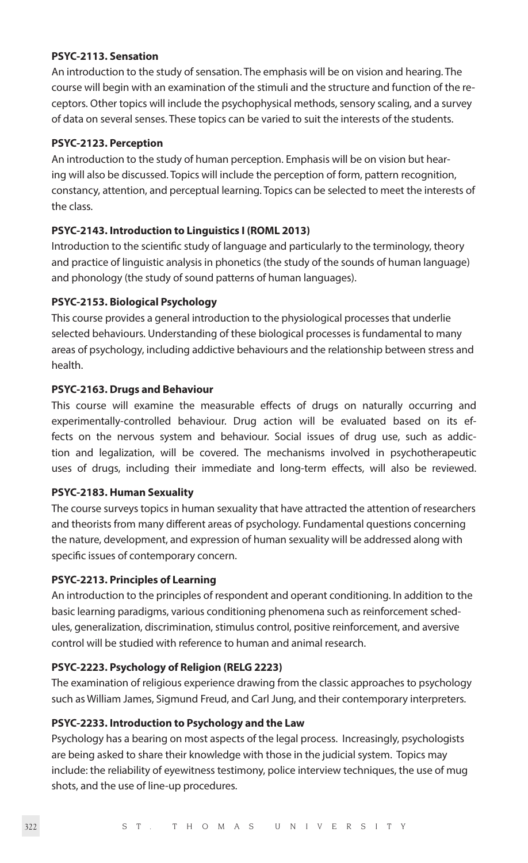#### **PSYC-2113. Sensation**

An introduction to the study of sensation. The emphasis will be on vision and hearing. The course will begin with an examination of the stimuli and the structure and function of the receptors. Other topics will include the psychophysical methods, sensory scaling, and a survey of data on several senses. These topics can be varied to suit the interests of the students.

#### **PSYC-2123. Perception**

An introduction to the study of human perception. Emphasis will be on vision but hearing will also be discussed. Topics will include the perception of form, pattern recognition, constancy, attention, and perceptual learning. Topics can be selected to meet the interests of the class.

#### **PSYC-2143. Introduction to Linguistics I (ROML 2013)**

Introduction to the scientific study of language and particularly to the terminology, theory and practice of linguistic analysis in phonetics (the study of the sounds of human language) and phonology (the study of sound patterns of human languages).

#### **PSYC-2153. Biological Psychology**

This course provides a general introduction to the physiological processes that underlie selected behaviours. Understanding of these biological processes is fundamental to many areas of psychology, including addictive behaviours and the relationship between stress and health.

#### **PSYC-2163. Drugs and Behaviour**

This course will examine the measurable effects of drugs on naturally occurring and experimentally-controlled behaviour. Drug action will be evaluated based on its effects on the nervous system and behaviour. Social issues of drug use, such as addiction and legalization, will be covered. The mechanisms involved in psychotherapeutic uses of drugs, including their immediate and long-term effects, will also be reviewed.

#### **PSYC-2183. Human Sexuality**

The course surveys topics in human sexuality that have attracted the attention of researchers and theorists from many different areas of psychology. Fundamental questions concerning the nature, development, and expression of human sexuality will be addressed along with specific issues of contemporary concern.

#### **PSYC-2213. Principles of Learning**

An introduction to the principles of respondent and operant conditioning. In addition to the basic learning paradigms, various conditioning phenomena such as reinforcement schedules, generalization, discrimination, stimulus control, positive reinforcement, and aversive control will be studied with reference to human and animal research.

#### **PSYC-2223. Psychology of Religion (RELG 2223)**

The examination of religious experience drawing from the classic approaches to psychology such as William James, Sigmund Freud, and Carl Jung, and their contemporary interpreters.

#### **PSYC-2233. Introduction to Psychology and the Law**

Psychology has a bearing on most aspects of the legal process. Increasingly, psychologists are being asked to share their knowledge with those in the judicial system. Topics may include: the reliability of eyewitness testimony, police interview techniques, the use of mug shots, and the use of line-up procedures.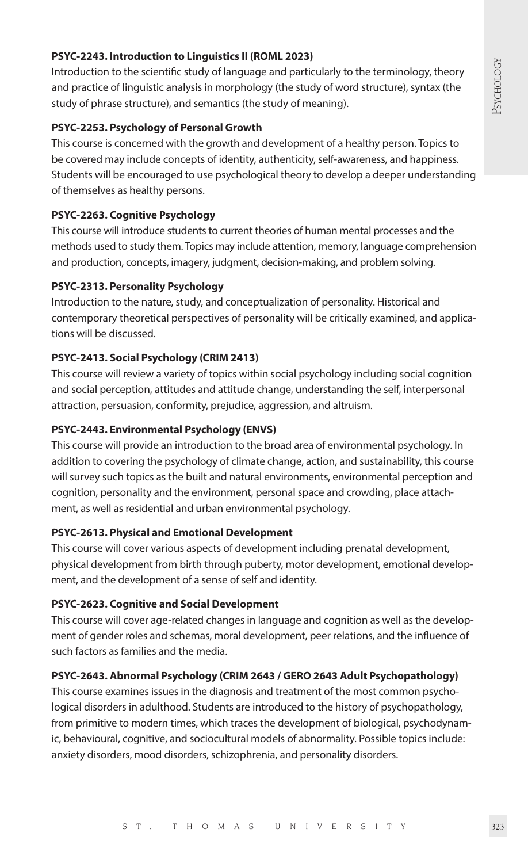#### **PSYC-2243. Introduction to Linguistics II (ROML 2023)**

Introduction to the scientific study of language and particularly to the terminology, theory and practice of linguistic analysis in morphology (the study of word structure), syntax (the study of phrase structure), and semantics (the study of meaning).

#### **PSYC-2253. Psychology of Personal Growth**

This course is concerned with the growth and development of a healthy person. Topics to be covered may include concepts of identity, authenticity, self-awareness, and happiness. Students will be encouraged to use psychological theory to develop a deeper understanding of themselves as healthy persons.

#### **PSYC-2263. Cognitive Psychology**

This course will introduce students to current theories of human mental processes and the methods used to study them. Topics may include attention, memory, language comprehension and production, concepts, imagery, judgment, decision-making, and problem solving.

#### **PSYC-2313. Personality Psychology**

Introduction to the nature, study, and conceptualization of personality. Historical and contemporary theoretical perspectives of personality will be critically examined, and applications will be discussed.

#### **PSYC-2413. Social Psychology (CRIM 2413)**

This course will review a variety of topics within social psychology including social cognition and social perception, attitudes and attitude change, understanding the self, interpersonal attraction, persuasion, conformity, prejudice, aggression, and altruism.

#### **PSYC-2443. Environmental Psychology (ENVS)**

This course will provide an introduction to the broad area of environmental psychology. In addition to covering the psychology of climate change, action, and sustainability, this course will survey such topics as the built and natural environments, environmental perception and cognition, personality and the environment, personal space and crowding, place attachment, as well as residential and urban environmental psychology.

#### **PSYC-2613. Physical and Emotional Development**

This course will cover various aspects of development including prenatal development, physical development from birth through puberty, motor development, emotional development, and the development of a sense of self and identity.

#### **PSYC-2623. Cognitive and Social Development**

This course will cover age-related changes in language and cognition as well as the development of gender roles and schemas, moral development, peer relations, and the influence of such factors as families and the media.

#### **PSYC-2643. Abnormal Psychology (CRIM 2643 / GERO 2643 Adult Psychopathology)**

This course examines issues in the diagnosis and treatment of the most common psychological disorders in adulthood. Students are introduced to the history of psychopathology, from primitive to modern times, which traces the development of biological, psychodynamic, behavioural, cognitive, and sociocultural models of abnormality. Possible topics include: anxiety disorders, mood disorders, schizophrenia, and personality disorders.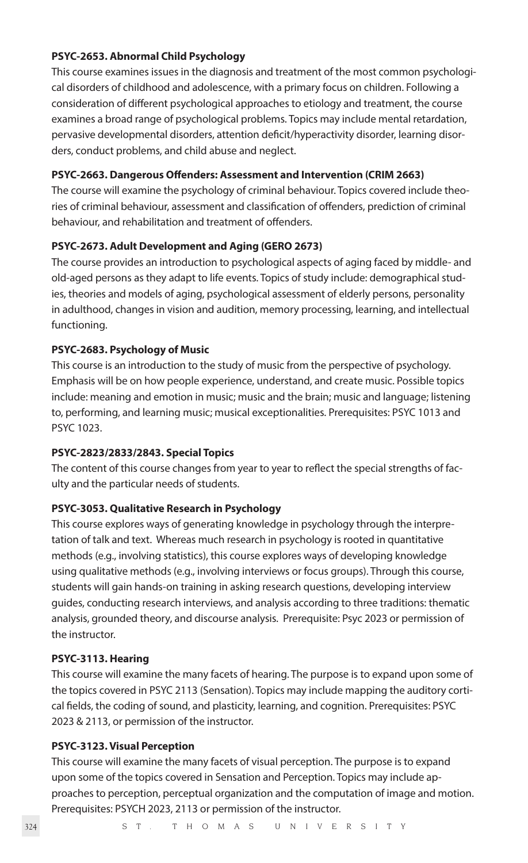#### **PSYC-2653. Abnormal Child Psychology**

This course examines issues in the diagnosis and treatment of the most common psychological disorders of childhood and adolescence, with a primary focus on children. Following a consideration of different psychological approaches to etiology and treatment, the course examines a broad range of psychological problems. Topics may include mental retardation, pervasive developmental disorders, attention deficit/hyperactivity disorder, learning disorders, conduct problems, and child abuse and neglect.

#### **PSYC-2663. Dangerous Offenders: Assessment and Intervention (CRIM 2663)**

The course will examine the psychology of criminal behaviour. Topics covered include theories of criminal behaviour, assessment and classification of offenders, prediction of criminal behaviour, and rehabilitation and treatment of offenders.

#### **PSYC-2673. Adult Development and Aging (GERO 2673)**

The course provides an introduction to psychological aspects of aging faced by middle- and old-aged persons as they adapt to life events. Topics of study include: demographical studies, theories and models of aging, psychological assessment of elderly persons, personality in adulthood, changes in vision and audition, memory processing, learning, and intellectual functioning.

#### **PSYC-2683. Psychology of Music**

This course is an introduction to the study of music from the perspective of psychology. Emphasis will be on how people experience, understand, and create music. Possible topics include: meaning and emotion in music; music and the brain; music and language; listening to, performing, and learning music; musical exceptionalities. Prerequisites: PSYC 1013 and PSYC 1023.

#### **PSYC-2823/2833/2843. Special Topics**

The content of this course changes from year to year to reflect the special strengths of faculty and the particular needs of students.

#### **PSYC-3053. Qualitative Research in Psychology**

This course explores ways of generating knowledge in psychology through the interpretation of talk and text. Whereas much research in psychology is rooted in quantitative methods (e.g., involving statistics), this course explores ways of developing knowledge using qualitative methods (e.g., involving interviews or focus groups). Through this course, students will gain hands-on training in asking research questions, developing interview guides, conducting research interviews, and analysis according to three traditions: thematic analysis, grounded theory, and discourse analysis. Prerequisite: Psyc 2023 or permission of the instructor.

#### **PSYC-3113. Hearing**

This course will examine the many facets of hearing. The purpose is to expand upon some of the topics covered in PSYC 2113 (Sensation). Topics may include mapping the auditory cortical fields, the coding of sound, and plasticity, learning, and cognition. Prerequisites: PSYC 2023 & 2113, or permission of the instructor.

#### **PSYC-3123. Visual Perception**

This course will examine the many facets of visual perception. The purpose is to expand upon some of the topics covered in Sensation and Perception. Topics may include approaches to perception, perceptual organization and the computation of image and motion. Prerequisites: PSYCH 2023, 2113 or permission of the instructor.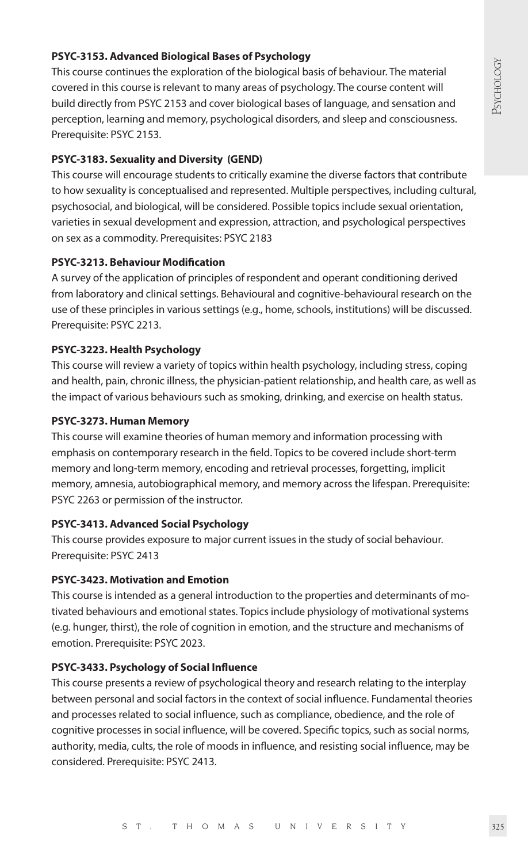#### **PSYC-3153. Advanced Biological Bases of Psychology**

This course continues the exploration of the biological basis of behaviour. The material covered in this course is relevant to many areas of psychology. The course content will build directly from PSYC 2153 and cover biological bases of language, and sensation and perception, learning and memory, psychological disorders, and sleep and consciousness. Prerequisite: PSYC 2153.

#### **PSYC-3183. Sexuality and Diversity (GEND)**

This course will encourage students to critically examine the diverse factors that contribute to how sexuality is conceptualised and represented. Multiple perspectives, including cultural, psychosocial, and biological, will be considered. Possible topics include sexual orientation, varieties in sexual development and expression, attraction, and psychological perspectives on sex as a commodity. Prerequisites: PSYC 2183

#### **PSYC-3213. Behaviour Modification**

A survey of the application of principles of respondent and operant conditioning derived from laboratory and clinical settings. Behavioural and cognitive-behavioural research on the use of these principles in various settings (e.g., home, schools, institutions) will be discussed. Prerequisite: PSYC 2213.

#### **PSYC-3223. Health Psychology**

This course will review a variety of topics within health psychology, including stress, coping and health, pain, chronic illness, the physician-patient relationship, and health care, as well as the impact of various behaviours such as smoking, drinking, and exercise on health status.

#### **PSYC-3273. Human Memory**

This course will examine theories of human memory and information processing with emphasis on contemporary research in the field. Topics to be covered include short-term memory and long-term memory, encoding and retrieval processes, forgetting, implicit memory, amnesia, autobiographical memory, and memory across the lifespan. Prerequisite: PSYC 2263 or permission of the instructor.

#### **PSYC-3413. Advanced Social Psychology**

This course provides exposure to major current issues in the study of social behaviour. Prerequisite: PSYC 2413

#### **PSYC-3423. Motivation and Emotion**

This course is intended as a general introduction to the properties and determinants of motivated behaviours and emotional states. Topics include physiology of motivational systems (e.g. hunger, thirst), the role of cognition in emotion, and the structure and mechanisms of emotion. Prerequisite: PSYC 2023.

#### **PSYC-3433. Psychology of Social Influence**

This course presents a review of psychological theory and research relating to the interplay between personal and social factors in the context of social influence. Fundamental theories and processes related to social influence, such as compliance, obedience, and the role of cognitive processes in social influence, will be covered. Specific topics, such as social norms, authority, media, cults, the role of moods in influence, and resisting social influence, may be considered. Prerequisite: PSYC 2413.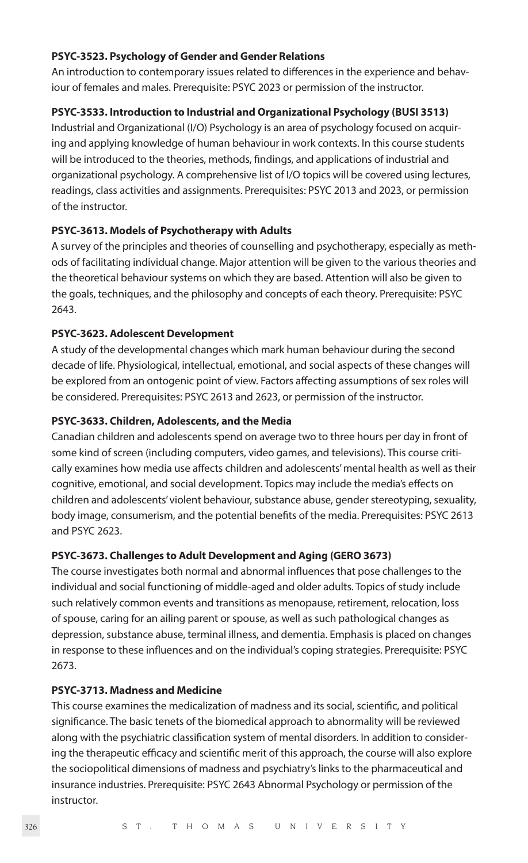#### **PSYC-3523. Psychology of Gender and Gender Relations**

An introduction to contemporary issues related to differences in the experience and behaviour of females and males. Prerequisite: PSYC 2023 or permission of the instructor.

#### **PSYC-3533. Introduction to Industrial and Organizational Psychology (BUSI 3513)**

Industrial and Organizational (I/O) Psychology is an area of psychology focused on acquiring and applying knowledge of human behaviour in work contexts. In this course students will be introduced to the theories, methods, findings, and applications of industrial and organizational psychology. A comprehensive list of I/O topics will be covered using lectures, readings, class activities and assignments. Prerequisites: PSYC 2013 and 2023, or permission of the instructor.

#### **PSYC-3613. Models of Psychotherapy with Adults**

A survey of the principles and theories of counselling and psychotherapy, especially as methods of facilitating individual change. Major attention will be given to the various theories and the theoretical behaviour systems on which they are based. Attention will also be given to the goals, techniques, and the philosophy and concepts of each theory. Prerequisite: PSYC 2643.

#### **PSYC-3623. Adolescent Development**

A study of the developmental changes which mark human behaviour during the second decade of life. Physiological, intellectual, emotional, and social aspects of these changes will be explored from an ontogenic point of view. Factors affecting assumptions of sex roles will be considered. Prerequisites: PSYC 2613 and 2623, or permission of the instructor.

#### **PSYC-3633. Children, Adolescents, and the Media**

Canadian children and adolescents spend on average two to three hours per day in front of some kind of screen (including computers, video games, and televisions). This course critically examines how media use affects children and adolescents' mental health as well as their cognitive, emotional, and social development. Topics may include the media's effects on children and adolescents' violent behaviour, substance abuse, gender stereotyping, sexuality, body image, consumerism, and the potential benefits of the media. Prerequisites: PSYC 2613 and PSYC 2623.

#### **PSYC-3673. Challenges to Adult Development and Aging (GERO 3673)**

The course investigates both normal and abnormal influences that pose challenges to the individual and social functioning of middle-aged and older adults. Topics of study include such relatively common events and transitions as menopause, retirement, relocation, loss of spouse, caring for an ailing parent or spouse, as well as such pathological changes as depression, substance abuse, terminal illness, and dementia. Emphasis is placed on changes in response to these influences and on the individual's coping strategies. Prerequisite: PSYC 2673.

#### **PSYC-3713. Madness and Medicine**

This course examines the medicalization of madness and its social, scientific, and political significance. The basic tenets of the biomedical approach to abnormality will be reviewed along with the psychiatric classification system of mental disorders. In addition to considering the therapeutic efficacy and scientific merit of this approach, the course will also explore the sociopolitical dimensions of madness and psychiatry's links to the pharmaceutical and insurance industries. Prerequisite: PSYC 2643 Abnormal Psychology or permission of the instructor.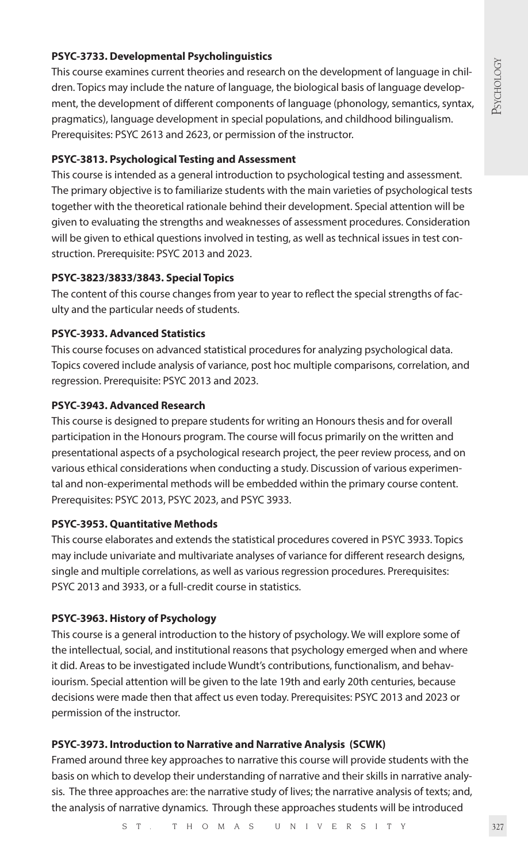#### **PSYC-3733. Developmental Psycholinguistics**

This course examines current theories and research on the development of language in children. Topics may include the nature of language, the biological basis of language development, the development of different components of language (phonology, semantics, syntax, pragmatics), language development in special populations, and childhood bilingualism. Prerequisites: PSYC 2613 and 2623, or permission of the instructor.

#### **PSYC-3813. Psychological Testing and Assessment**

This course is intended as a general introduction to psychological testing and assessment. The primary objective is to familiarize students with the main varieties of psychological tests together with the theoretical rationale behind their development. Special attention will be given to evaluating the strengths and weaknesses of assessment procedures. Consideration will be given to ethical questions involved in testing, as well as technical issues in test construction. Prerequisite: PSYC 2013 and 2023.

#### **PSYC-3823/3833/3843. Special Topics**

The content of this course changes from year to year to reflect the special strengths of faculty and the particular needs of students.

#### **PSYC-3933. Advanced Statistics**

This course focuses on advanced statistical procedures for analyzing psychological data. Topics covered include analysis of variance, post hoc multiple comparisons, correlation, and regression. Prerequisite: PSYC 2013 and 2023.

#### **PSYC-3943. Advanced Research**

This course is designed to prepare students for writing an Honours thesis and for overall participation in the Honours program. The course will focus primarily on the written and presentational aspects of a psychological research project, the peer review process, and on various ethical considerations when conducting a study. Discussion of various experimental and non-experimental methods will be embedded within the primary course content. Prerequisites: PSYC 2013, PSYC 2023, and PSYC 3933.

#### **PSYC-3953. Quantitative Methods**

This course elaborates and extends the statistical procedures covered in PSYC 3933. Topics may include univariate and multivariate analyses of variance for different research designs, single and multiple correlations, as well as various regression procedures. Prerequisites: PSYC 2013 and 3933, or a full-credit course in statistics.

#### **PSYC-3963. History of Psychology**

This course is a general introduction to the history of psychology. We will explore some of the intellectual, social, and institutional reasons that psychology emerged when and where it did. Areas to be investigated include Wundt's contributions, functionalism, and behaviourism. Special attention will be given to the late 19th and early 20th centuries, because decisions were made then that affect us even today. Prerequisites: PSYC 2013 and 2023 or permission of the instructor.

#### **PSYC-3973. Introduction to Narrative and Narrative Analysis (SCWK)**

Framed around three key approaches to narrative this course will provide students with the basis on which to develop their understanding of narrative and their skills in narrative analysis. The three approaches are: the narrative study of lives; the narrative analysis of texts; and, the analysis of narrative dynamics. Through these approaches students will be introduced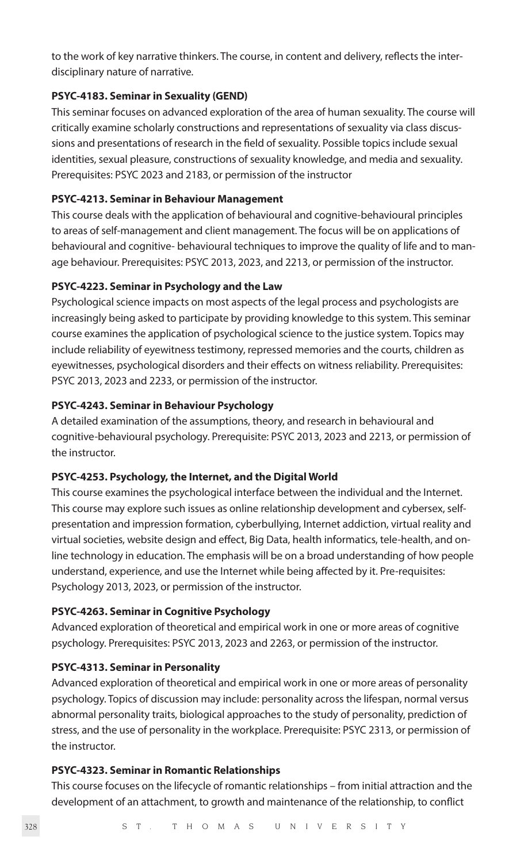to the work of key narrative thinkers. The course, in content and delivery, reflects the interdisciplinary nature of narrative.

#### **PSYC-4183. Seminar in Sexuality (GEND)**

This seminar focuses on advanced exploration of the area of human sexuality. The course will critically examine scholarly constructions and representations of sexuality via class discussions and presentations of research in the field of sexuality. Possible topics include sexual identities, sexual pleasure, constructions of sexuality knowledge, and media and sexuality. Prerequisites: PSYC 2023 and 2183, or permission of the instructor

#### **PSYC-4213. Seminar in Behaviour Management**

This course deals with the application of behavioural and cognitive-behavioural principles to areas of self-management and client management. The focus will be on applications of behavioural and cognitive- behavioural techniques to improve the quality of life and to manage behaviour. Prerequisites: PSYC 2013, 2023, and 2213, or permission of the instructor.

#### **PSYC-4223. Seminar in Psychology and the Law**

Psychological science impacts on most aspects of the legal process and psychologists are increasingly being asked to participate by providing knowledge to this system. This seminar course examines the application of psychological science to the justice system. Topics may include reliability of eyewitness testimony, repressed memories and the courts, children as eyewitnesses, psychological disorders and their effects on witness reliability. Prerequisites: PSYC 2013, 2023 and 2233, or permission of the instructor.

#### **PSYC-4243. Seminar in Behaviour Psychology**

A detailed examination of the assumptions, theory, and research in behavioural and cognitive-behavioural psychology. Prerequisite: PSYC 2013, 2023 and 2213, or permission of the instructor.

#### **PSYC-4253. Psychology, the Internet, and the Digital World**

This course examines the psychological interface between the individual and the Internet. This course may explore such issues as online relationship development and cybersex, selfpresentation and impression formation, cyberbullying, Internet addiction, virtual reality and virtual societies, website design and effect, Big Data, health informatics, tele-health, and online technology in education. The emphasis will be on a broad understanding of how people understand, experience, and use the Internet while being affected by it. Pre-requisites: Psychology 2013, 2023, or permission of the instructor.

#### **PSYC-4263. Seminar in Cognitive Psychology**

Advanced exploration of theoretical and empirical work in one or more areas of cognitive psychology. Prerequisites: PSYC 2013, 2023 and 2263, or permission of the instructor.

#### **PSYC-4313. Seminar in Personality**

Advanced exploration of theoretical and empirical work in one or more areas of personality psychology. Topics of discussion may include: personality across the lifespan, normal versus abnormal personality traits, biological approaches to the study of personality, prediction of stress, and the use of personality in the workplace. Prerequisite: PSYC 2313, or permission of the instructor.

#### **PSYC-4323. Seminar in Romantic Relationships**

This course focuses on the lifecycle of romantic relationships – from initial attraction and the development of an attachment, to growth and maintenance of the relationship, to conflict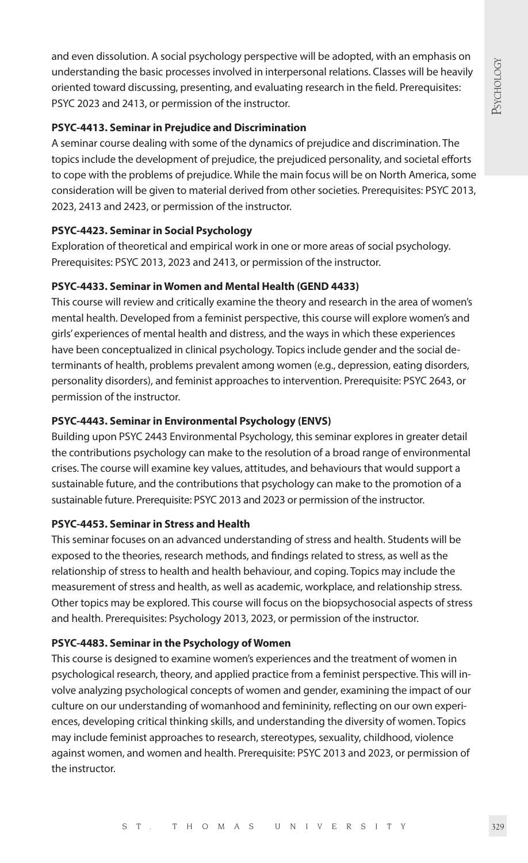and even dissolution. A social psychology perspective will be adopted, with an emphasis on understanding the basic processes involved in interpersonal relations. Classes will be heavily oriented toward discussing, presenting, and evaluating research in the field. Prerequisites: PSYC 2023 and 2413, or permission of the instructor.

#### **PSYC-4413. Seminar in Prejudice and Discrimination**

A seminar course dealing with some of the dynamics of prejudice and discrimination. The topics include the development of prejudice, the prejudiced personality, and societal efforts to cope with the problems of prejudice. While the main focus will be on North America, some consideration will be given to material derived from other societies. Prerequisites: PSYC 2013, 2023, 2413 and 2423, or permission of the instructor.

#### **PSYC-4423. Seminar in Social Psychology**

Exploration of theoretical and empirical work in one or more areas of social psychology. Prerequisites: PSYC 2013, 2023 and 2413, or permission of the instructor.

#### **PSYC-4433. Seminar in Women and Mental Health (GEND 4433)**

This course will review and critically examine the theory and research in the area of women's mental health. Developed from a feminist perspective, this course will explore women's and girls' experiences of mental health and distress, and the ways in which these experiences have been conceptualized in clinical psychology. Topics include gender and the social determinants of health, problems prevalent among women (e.g., depression, eating disorders, personality disorders), and feminist approaches to intervention. Prerequisite: PSYC 2643, or permission of the instructor.

#### **PSYC-4443. Seminar in Environmental Psychology (ENVS)**

Building upon PSYC 2443 Environmental Psychology, this seminar explores in greater detail the contributions psychology can make to the resolution of a broad range of environmental crises. The course will examine key values, attitudes, and behaviours that would support a sustainable future, and the contributions that psychology can make to the promotion of a sustainable future. Prerequisite: PSYC 2013 and 2023 or permission of the instructor.

#### **PSYC-4453. Seminar in Stress and Health**

This seminar focuses on an advanced understanding of stress and health. Students will be exposed to the theories, research methods, and findings related to stress, as well as the relationship of stress to health and health behaviour, and coping. Topics may include the measurement of stress and health, as well as academic, workplace, and relationship stress. Other topics may be explored. This course will focus on the biopsychosocial aspects of stress and health. Prerequisites: Psychology 2013, 2023, or permission of the instructor.

#### **PSYC-4483. Seminar in the Psychology of Women**

This course is designed to examine women's experiences and the treatment of women in psychological research, theory, and applied practice from a feminist perspective. This will involve analyzing psychological concepts of women and gender, examining the impact of our culture on our understanding of womanhood and femininity, reflecting on our own experiences, developing critical thinking skills, and understanding the diversity of women. Topics may include feminist approaches to research, stereotypes, sexuality, childhood, violence against women, and women and health. Prerequisite: PSYC 2013 and 2023, or permission of the instructor.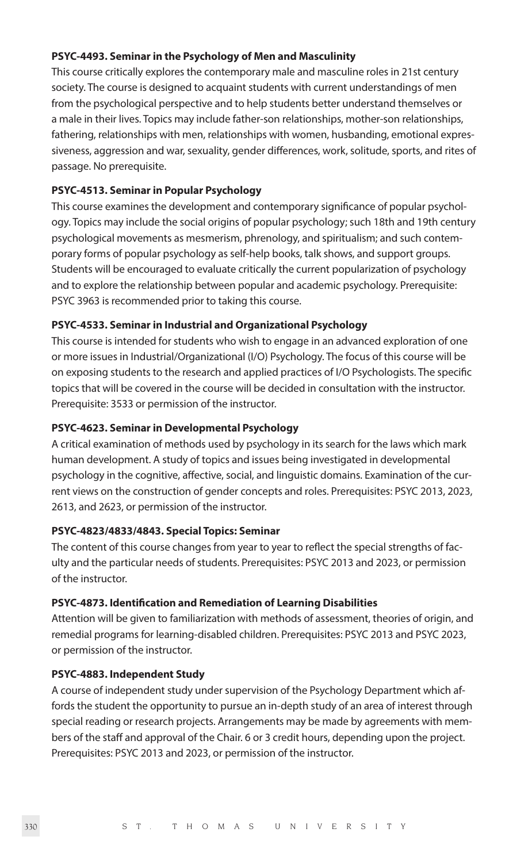#### **PSYC-4493. Seminar in the Psychology of Men and Masculinity**

This course critically explores the contemporary male and masculine roles in 21st century society. The course is designed to acquaint students with current understandings of men from the psychological perspective and to help students better understand themselves or a male in their lives. Topics may include father-son relationships, mother-son relationships, fathering, relationships with men, relationships with women, husbanding, emotional expressiveness, aggression and war, sexuality, gender differences, work, solitude, sports, and rites of passage. No prerequisite.

#### **PSYC-4513. Seminar in Popular Psychology**

This course examines the development and contemporary significance of popular psychology. Topics may include the social origins of popular psychology; such 18th and 19th century psychological movements as mesmerism, phrenology, and spiritualism; and such contemporary forms of popular psychology as self-help books, talk shows, and support groups. Students will be encouraged to evaluate critically the current popularization of psychology and to explore the relationship between popular and academic psychology. Prerequisite: PSYC 3963 is recommended prior to taking this course.

#### **PSYC-4533. Seminar in Industrial and Organizational Psychology**

This course is intended for students who wish to engage in an advanced exploration of one or more issues in Industrial/Organizational (I/O) Psychology. The focus of this course will be on exposing students to the research and applied practices of I/O Psychologists. The specific topics that will be covered in the course will be decided in consultation with the instructor. Prerequisite: 3533 or permission of the instructor.

#### **PSYC-4623. Seminar in Developmental Psychology**

A critical examination of methods used by psychology in its search for the laws which mark human development. A study of topics and issues being investigated in developmental psychology in the cognitive, affective, social, and linguistic domains. Examination of the current views on the construction of gender concepts and roles. Prerequisites: PSYC 2013, 2023, 2613, and 2623, or permission of the instructor.

#### **PSYC-4823/4833/4843. Special Topics: Seminar**

The content of this course changes from year to year to reflect the special strengths of faculty and the particular needs of students. Prerequisites: PSYC 2013 and 2023, or permission of the instructor.

#### **PSYC-4873. Identification and Remediation of Learning Disabilities**

Attention will be given to familiarization with methods of assessment, theories of origin, and remedial programs for learning-disabled children. Prerequisites: PSYC 2013 and PSYC 2023, or permission of the instructor.

#### **PSYC-4883. Independent Study**

A course of independent study under supervision of the Psychology Department which affords the student the opportunity to pursue an in-depth study of an area of interest through special reading or research projects. Arrangements may be made by agreements with members of the staff and approval of the Chair. 6 or 3 credit hours, depending upon the project. Prerequisites: PSYC 2013 and 2023, or permission of the instructor.